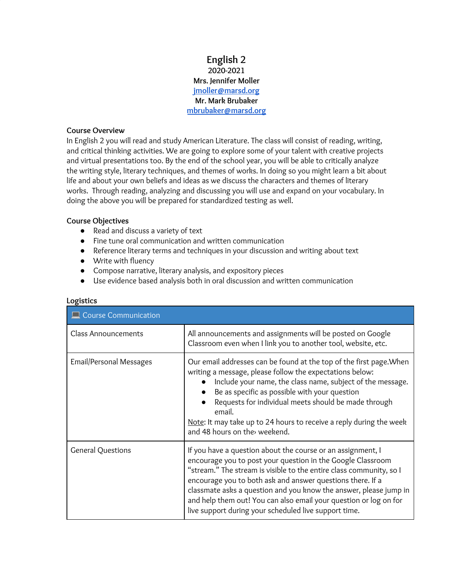### **English 2 2020-2021 Mrs. Jennifer Moller [jmoller@marsd.org](mailto:jmoller@marsd.org) Mr. Mark Brubaker [mbrubaker@marsd.org](mailto:mbrubaker@marsd.org)**

#### **Course Overview**

In English 2 you will read and study American Literature. The class will consist of reading, writing, and critical thinking activities. We are going to explore some of your talent with creative projects and virtual presentations too. By the end of the school year, you will be able to critically analyze the writing style, literary techniques, and themes of works. In doing so you might learn a bit about life and about your own beliefs and ideas as we discuss the characters and themes of literary works. Through reading, analyzing and discussing you will use and expand on your vocabulary. In doing the above you will be prepared for standardized testing as well.

#### **Course Objectives**

- Read and discuss a variety of text
- Fine tune oral communication and written communication
- Reference literary terms and techniques in your discussion and writing about text
- Write with fluency
- Compose narrative, literary analysis, and expository pieces
- Use evidence based analysis both in oral discussion and written communication

| $\Box$ Course Communication |                                                                                                                                                                                                                                                                                                                                                                                                                                                                    |  |  |
|-----------------------------|--------------------------------------------------------------------------------------------------------------------------------------------------------------------------------------------------------------------------------------------------------------------------------------------------------------------------------------------------------------------------------------------------------------------------------------------------------------------|--|--|
| <b>Class Announcements</b>  | All announcements and assignments will be posted on Google<br>Classroom even when I link you to another tool, website, etc.                                                                                                                                                                                                                                                                                                                                        |  |  |
| Email/Personal Messages     | Our email addresses can be found at the top of the first page. When<br>writing a message, please follow the expectations below:<br>Include your name, the class name, subject of the message.<br>$\bullet$<br>Be as specific as possible with your question<br>$\bullet$<br>Requests for individual meets should be made through<br>email.<br>Note: It may take up to 24 hours to receive a reply during the week<br>and 48 hours on the weekend.                  |  |  |
| <b>General Questions</b>    | If you have a question about the course or an assignment, I<br>encourage you to post your question in the Google Classroom<br>"stream." The stream is visible to the entire class community, so I<br>encourage you to both ask and answer questions there. If a<br>classmate asks a question and you know the answer, please jump in<br>and help them out! You can also email your question or log on for<br>live support during your scheduled live support time. |  |  |

#### **Logistics**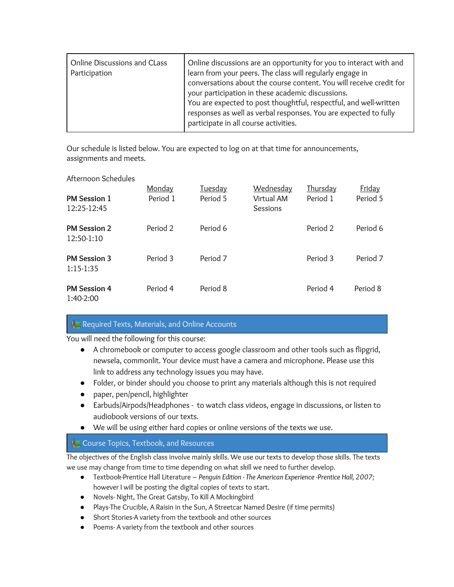| Online Discussions and CLass<br>Participation | Online discussions are an opportunity for you to interact with and<br>learn from your peers. The class will regularly engage in<br>conversations about the course content. You will receive credit for<br>your participation in these academic discussions.<br>You are expected to post thoughtful, respectful, and well-written<br>responses as well as verbal responses. You are expected to fully<br>participate in all course activities. |
|-----------------------------------------------|-----------------------------------------------------------------------------------------------------------------------------------------------------------------------------------------------------------------------------------------------------------------------------------------------------------------------------------------------------------------------------------------------------------------------------------------------|
|-----------------------------------------------|-----------------------------------------------------------------------------------------------------------------------------------------------------------------------------------------------------------------------------------------------------------------------------------------------------------------------------------------------------------------------------------------------------------------------------------------------|

Our schedule is listed below. You are expected to log on at that time for announcements, assignments and meets.

#### Afternoon Schedules

| <b>PM Session 1</b><br>12:25-12:45 | Monday<br>Period 1 | <u>Tuesday</u><br>Period 5 | <b>Wednesday</b><br>Virtual AM<br>Sessions | <u>Thursday</u><br>Period 1 | Friday<br>Period 5 |
|------------------------------------|--------------------|----------------------------|--------------------------------------------|-----------------------------|--------------------|
| <b>PM Session 2</b><br>12:50-1:10  | Period 2           | Period 6                   |                                            | Period 2                    | Period 6           |
| <b>PM Session 3</b><br>$1:15-1:35$ | Period 3           | Period 7                   |                                            | Period 3                    | Period 7           |
| <b>PM Session 4</b><br>1:40-2:00   | Period 4           | Period 8                   |                                            | Period 4                    | Period 8           |

### Required Texts, Materials, and Online Accounts

You will need the following for this course:

- A chromebook or computer to access google classroom and other tools such as flipgrid, newsela, commonlit. Your device must have a camera and microphone. Please use this link to address any technology issues you may have.
- Folder, or binder should you choose to print any materials although this is not required
- paper, pen/pencil, highlighter
- Earbuds/Airpods/Headphones to watch class videos, engage in discussions, or listen to audiobook versions of our texts.
- We will be using either hard copies or online versions of the texts we use.

# **Course Topics, Textbook, and Resources**

The objectives of the English class involve mainly skills. We use our texts to develop those skills. The texts we use may change from time to time depending on what skill we need to further develop.

- Textbook-Prentice Hall Literature *Penguin Edition - The American Experience -Prentice Hall, 2007;* however I will be posting the digital copies of texts to start.
- Novels- Night, The Great Gatsby, To Kill A Mockingbird
- Plays-The Crucible, A Raisin in the Sun, A Streetcar Named Desire (if time permits)
- Short Stories-A variety from the textbook and other sources
- Poems- A variety from the textbook and other sources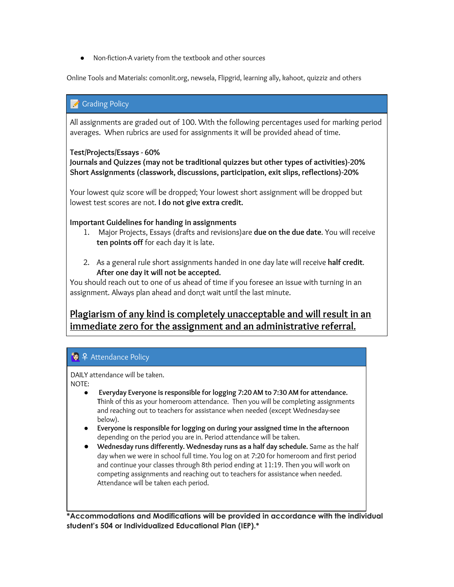● Non-fiction-A variety from the textbook and other sources

Online Tools and Materials: comonlit.org, newsela, Flipgrid, learning ally, kahoot, quizziz and others

# **Grading Policy**

All assignments are graded out of 100. With the following percentages used for marking period averages. When rubrics are used for assignments it will be provided ahead of time.

### **Test/Projects/Essays - 60%**

**Journals and Quizzes (may not be traditional quizzes but other types of activities)-20% Short Assignments (classwork, discussions, participation, exit slips, reflections)-20%**

Your lowest quiz score will be dropped; Your lowest short assignment will be dropped but lowest test scores are not. **I do not give extra credit.**

### **Important Guidelines for handing in assignments**

- 1. Major Projects, Essays (drafts and revisions)are **due on the due date**. You will receive **ten points off** for each day it is late.
- 2. As a general rule short assignments handed in one day late will receive **half credit**. **After one day it will not be accepted.**

You should reach out to one of us ahead of time if you foresee an issue with turning in an assignment. Always plan ahead and don;t wait until the last minute.

# **Plagiarism of any kind is completely unacceptable and will result in an immediate zero for the assignment and an administrative referral.**

# **● ♀** Attendance Policy

DAILY attendance will be taken. NOTE:

- **Everyday Everyone is responsible for logging 7:20 AM to 7:30 AM for attendance. T**hink of this as your homeroom attendance. Then you will be completing assignments and reaching out to teachers for assistance when needed (except Wednesday-see below).
- **Everyone is responsible for logging on during your assigned time in the afternoon** depending on the period you are in. Period attendance will be taken.
- **Wednesday runs differently. Wednesday runs as a half day schedule.** Same as the half day when we were in school full time. You log on at 7:20 for homeroom and first period and continue your classes through 8th period ending at 11:19. Then you will work on competing assignments and reaching out to teachers for assistance when needed. Attendance will be taken each period.

**\*Accommodations and Modifications will be provided in accordance with the individual student's 504 or Individualized Educational Plan (IEP).\***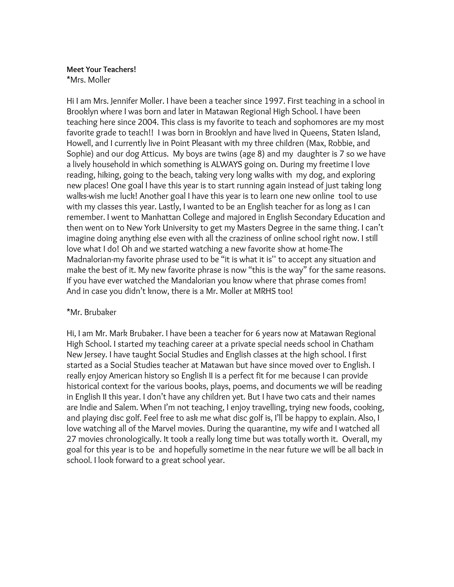### **Meet Your Teachers!** \*Mrs. Moller

Hi I am Mrs. Jennifer Moller. I have been a teacher since 1997. First teaching in a school in Brooklyn where I was born and later in Matawan Regional High School. I have been teaching here since 2004. This class is my favorite to teach and sophomores are my most favorite grade to teach!! I was born in Brooklyn and have lived in Queens, Staten Island, Howell, and I currently live in Point Pleasant with my three children (Max, Robbie, and Sophie) and our dog Atticus. My boys are twins (age 8) and my daughter is 7 so we have a lively household in which something is ALWAYS going on. During my freetime I love reading, hiking, going to the beach, taking very long walks with my dog, and exploring new places! One goal I have this year is to start running again instead of just taking long walks-wish me luck! Another goal I have this year is to learn one new online tool to use with my classes this year. Lastly, I wanted to be an English teacher for as long as I can remember. I went to Manhattan College and majored in English Secondary Education and then went on to New York University to get my Masters Degree in the same thing. I can't imagine doing anything else even with all the craziness of online school right now. I still love what I do! Oh and we started watching a new favorite show at home-The Madnalorian-my favorite phrase used to be "it is what it is'' to accept any situation and make the best of it. My new favorite phrase is now "this is the way" for the same reasons. If you have ever watched the Mandalorian you know where that phrase comes from! And in case you didn't know, there is a Mr. Moller at MRHS too!

# \*Mr. Brubaker

Hi, I am Mr. Mark Brubaker. I have been a teacher for 6 years now at Matawan Regional High School. I started my teaching career at a private special needs school in Chatham New Jersey. I have taught Social Studies and English classes at the high school. I first started as a Social Studies teacher at Matawan but have since moved over to English. I really enjoy American history so English II is a perfect fit for me because I can provide historical context for the various books, plays, poems, and documents we will be reading in English II this year. I don't have any children yet. But I have two cats and their names are Indie and Salem. When I'm not teaching, I enjoy travelling, trying new foods, cooking, and playing disc golf. Feel free to ask me what disc golf is, I'll be happy to explain. Also, I love watching all of the Marvel movies. During the quarantine, my wife and I watched all 27 movies chronologically. It took a really long time but was totally worth it. Overall, my goal for this year is to be and hopefully sometime in the near future we will be all back in school. I look forward to a great school year.